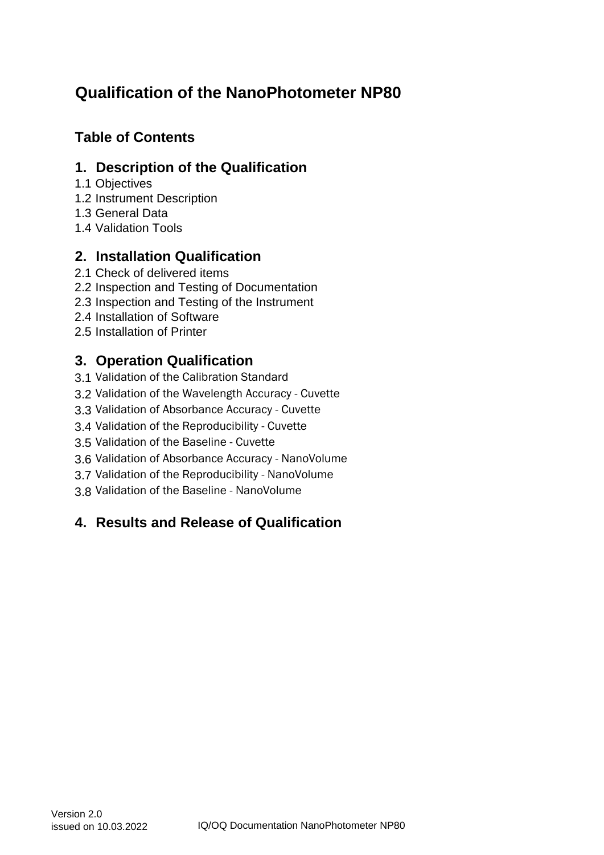# **Table of Contents**

## **1. Description of the Qualification**

- 1.1 Objectives
- 1.2 Instrument Description
- 1.3 General Data
- 1.4 Validation Tools

# **2. Installation Qualification**

- 2.1 Check of delivered items
- 2.2 Inspection and Testing of Documentation
- 2.3 Inspection and Testing of the Instrument
- 2.4 Installation of Software
- 2.5 Installation of Printer

# **3. Operation Qualification**

- 3.1 Validation of the Calibration Standard
- 3.2 Validation of the Wavelength Accuracy Cuvette
- 3.3 Validation of Absorbance Accuracy Cuvette
- 3.4 Validation of the Reproducibility Cuvette
- 3.5 Validation of the Baseline Cuvette
- 3.6 Validation of Absorbance Accuracy NanoVolume
- 3.7 Validation of the Reproducibility NanoVolume
- 3.8 Validation of the Baseline NanoVolume

# **4. Results and Release of Qualification**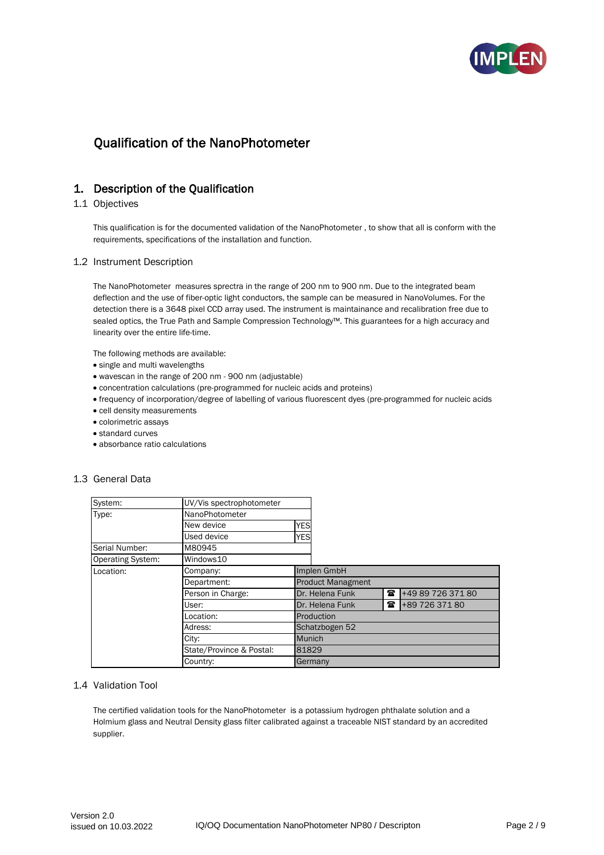

## 1. Description of the Qualification

#### 1.1 Objectives

This qualification is for the documented validation of the NanoPhotometer , to show that all is conform with the requirements, specifications of the installation and function.

#### 1.2 Instrument Description

The NanoPhotometer measures sprectra in the range of 200 nm to 900 nm. Due to the integrated beam deflection and the use of fiber-optic light conductors, the sample can be measured in NanoVolumes. For the detection there is a 3648 pixel CCD array used. The instrument is maintainance and recalibration free due to sealed optics, the True Path and Sample Compression Technology™. This guarantees for a high accuracy and linearity over the entire life-time.

The following methods are available:

- single and multi wavelengths
- wavescan in the range of 200 nm 900 nm (adjustable)
- concentration calculations (pre-programmed for nucleic acids and proteins)
- frequency of incorporation/degree of labelling of various fluorescent dyes (pre-programmed for nucleic acids
- cell density measurements
- colorimetric assays
- standard curves
- absorbance ratio calculations

#### 1.3 General Data

| System:                  | UV/Vis spectrophotometer |                          |                 |              |                   |
|--------------------------|--------------------------|--------------------------|-----------------|--------------|-------------------|
| Type:                    | NanoPhotometer           |                          |                 |              |                   |
|                          | New device               | <b>YES</b>               |                 |              |                   |
|                          | Used device              | <b>YES</b>               |                 |              |                   |
| Serial Number:           | M80945                   |                          |                 |              |                   |
| <b>Operating System:</b> | Windows10                |                          |                 |              |                   |
| Location:                | Company:                 | Implen GmbH              |                 |              |                   |
|                          | Department:              | <b>Product Managment</b> |                 |              |                   |
|                          | Person in Charge:        |                          | Dr. Helena Funk | $\mathbf{z}$ | +49 89 726 371 80 |
|                          | User:                    |                          | Dr. Helena Funk | $\mathbf{z}$ | +89 726 371 80    |
|                          | Location:                | Production               |                 |              |                   |
|                          | Adress:                  |                          | Schatzbogen 52  |              |                   |
|                          | City:                    | <b>Munich</b>            |                 |              |                   |
|                          | State/Province & Postal: | 81829                    |                 |              |                   |
|                          | Country:                 | Germany                  |                 |              |                   |

#### 1.4 Validation Tool

The certified validation tools for the NanoPhotometer is a potassium hydrogen phthalate solution and a Holmium glass and Neutral Density glass filter calibrated against a traceable NIST standard by an accredited supplier.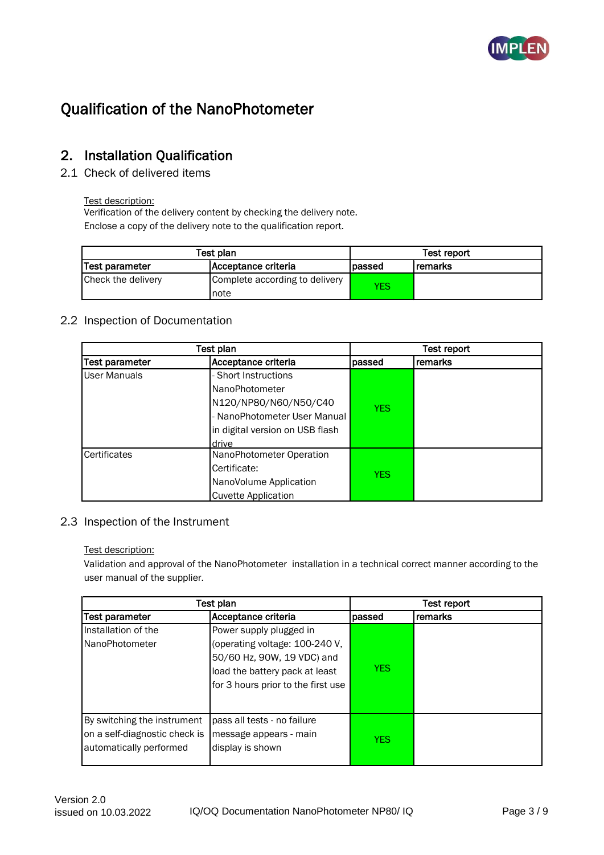

## 2. Installation Qualification

2.1 Check of delivered items

### Test description:

Verification of the delivery content by checking the delivery note. Enclose a copy of the delivery note to the qualification report.

|                    | Test plan                              | Test report |         |
|--------------------|----------------------------------------|-------------|---------|
| Test parameter     | Acceptance criteria                    | lpassed     | remarks |
| Check the delivery | Complete according to delivery<br>note | YES         |         |

## 2.2 Inspection of Documentation

|                       | Test plan                       | Test report |         |  |  |
|-----------------------|---------------------------------|-------------|---------|--|--|
| <b>Test parameter</b> | Acceptance criteria             | passed      | remarks |  |  |
| User Manuals          | - Short Instructions            |             |         |  |  |
|                       | NanoPhotometer                  |             |         |  |  |
|                       | N120/NP80/N60/N50/C40           | <b>YFS</b>  |         |  |  |
|                       | - NanoPhotometer User Manual    |             |         |  |  |
|                       | in digital version on USB flash |             |         |  |  |
|                       | drive                           |             |         |  |  |
| Certificates          | NanoPhotometer Operation        |             |         |  |  |
|                       | Certificate:                    | <b>YES</b>  |         |  |  |
|                       | NanoVolume Application          |             |         |  |  |
|                       | Cuvette Application             |             |         |  |  |

## 2.3 Inspection of the Instrument

### Test description:

Validation and approval of the NanoPhotometer installation in a technical correct manner according to the user manual of the supplier.

|                                                                                         | Test plan                                                                                                                                                       | Test report |         |  |
|-----------------------------------------------------------------------------------------|-----------------------------------------------------------------------------------------------------------------------------------------------------------------|-------------|---------|--|
| Test parameter                                                                          | Acceptance criteria                                                                                                                                             | passed      | remarks |  |
| Installation of the<br>NanoPhotometer                                                   | Power supply plugged in<br>(operating voltage: 100-240 V,<br>50/60 Hz, 90W, 19 VDC) and<br>load the battery pack at least<br>for 3 hours prior to the first use | <b>YES</b>  |         |  |
| By switching the instrument<br>on a self-diagnostic check is<br>automatically performed | pass all tests - no failure<br>message appears - main<br>display is shown                                                                                       | <b>YES</b>  |         |  |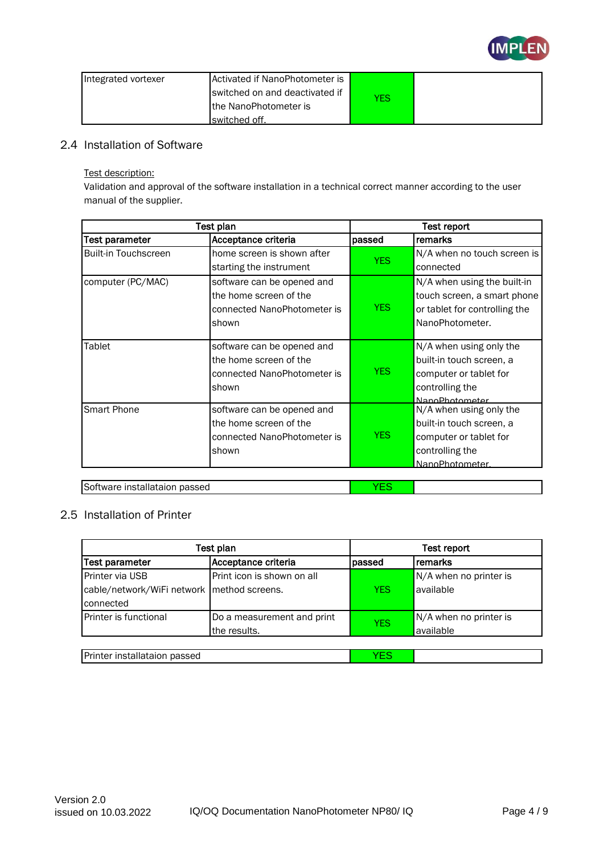

| Integrated vortexer | Activated if NanoPhotometer is |            |  |
|---------------------|--------------------------------|------------|--|
|                     | switched on and deactivated if | <b>YES</b> |  |
|                     | the NanoPhotometer is          |            |  |
|                     | Iswitched off.                 |            |  |

## 2.4 Installation of Software

Test description:

Validation and approval of the software installation in a technical correct manner according to the user manual of the supplier.

|                               | Test plan                                                                                    | Test report |                                                                                                                    |  |
|-------------------------------|----------------------------------------------------------------------------------------------|-------------|--------------------------------------------------------------------------------------------------------------------|--|
| Test parameter                | Acceptance criteria                                                                          | passed      | remarks                                                                                                            |  |
| <b>Built-in Touchscreen</b>   | home screen is shown after                                                                   |             | N/A when no touch screen is                                                                                        |  |
|                               | starting the instrument                                                                      | <b>YES</b>  | connected                                                                                                          |  |
| computer (PC/MAC)             | software can be opened and<br>the home screen of the<br>connected NanoPhotometer is<br>shown | <b>YES</b>  | N/A when using the built-in<br>touch screen, a smart phone<br>or tablet for controlling the<br>NanoPhotometer.     |  |
| Tablet                        | software can be opened and<br>the home screen of the<br>connected NanoPhotometer is<br>shown | <b>YES</b>  | N/A when using only the<br>built-in touch screen, a<br>computer or tablet for<br>controlling the<br>NanoPhotometer |  |
| Smart Phone                   | software can be opened and<br>the home screen of the<br>connected NanoPhotometer is<br>shown | YES.        | N/A when using only the<br>built-in touch screen, a<br>computer or tablet for<br>controlling the<br>NanoPhotometer |  |
| Software installataion passed |                                                                                              | <b>YES</b>  |                                                                                                                    |  |

## 2.5 Installation of Printer

|                                              | Test plan                  | Test report |                        |  |
|----------------------------------------------|----------------------------|-------------|------------------------|--|
| <b>Test parameter</b>                        | Acceptance criteria        | passed      | remarks                |  |
| Printer via USB                              | Print icon is shown on all |             | N/A when no printer is |  |
| cable/network/WiFi network   method screens. |                            | <b>YES</b>  | available              |  |
| connected                                    |                            |             |                        |  |
| Printer is functional                        | Do a measurement and print | <b>YES</b>  | N/A when no printer is |  |
|                                              | the results.               |             | available              |  |
|                                              |                            |             |                        |  |
| Printer installataion passed                 |                            | YES         |                        |  |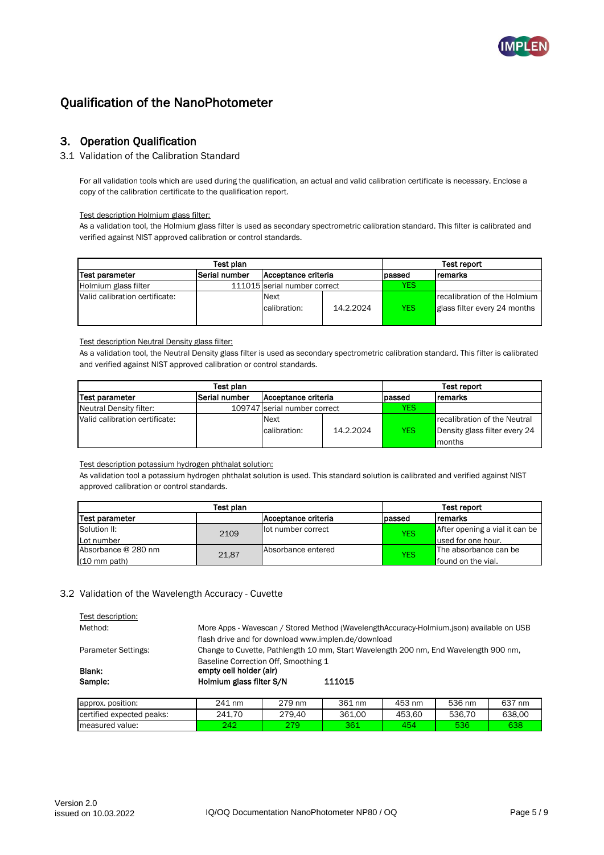

## 3. Operation Qualification

#### 3.1 Validation of the Calibration Standard

For all validation tools which are used during the qualification, an actual and valid calibration certificate is necessary. Enclose a copy of the calibration certificate to the qualification report.

Test description Holmium glass filter:

As a validation tool, the Holmium glass filter is used as secondary spectrometric calibration standard. This filter is calibrated and verified against NIST approved calibration or control standards.

| Test plan                      |               |                              |           |            | <b>Test report</b>                                           |
|--------------------------------|---------------|------------------------------|-----------|------------|--------------------------------------------------------------|
| Test parameter                 | Serial number | IAcceptance criteria         |           | passed     | Iremarks                                                     |
| Holmium glass filter           |               | 111015 serial number correct |           | YES        |                                                              |
| Valid calibration certificate: |               | <b>Next</b><br>calibration:  | 14.2.2024 | <b>YES</b> | recalibration of the Holmium<br>glass filter every 24 months |

Test description Neutral Density glass filter:

As a validation tool, the Neutral Density glass filter is used as secondary spectrometric calibration standard. This filter is calibrated and verified against NIST approved calibration or control standards.

| Test plan                      |               |                              |           |            | Test report                   |
|--------------------------------|---------------|------------------------------|-----------|------------|-------------------------------|
| Test parameter                 | Serial number | Acceptance criteria          |           | lpassed    | <b>remarks</b>                |
| Neutral Density filter:        |               | 109747 serial number correct |           | YES        |                               |
| Valid calibration certificate: |               | <b>Next</b>                  |           |            | recalibration of the Neutral  |
|                                |               | calibration:                 | 14.2.2024 | <b>YES</b> | Density glass filter every 24 |
|                                |               |                              |           |            | months                        |

Test description potassium hydrogen phthalat solution:

As validation tool a potassium hydrogen phthalat solution is used. This standard solution is calibrated and verified against NIST approved calibration or control standards.

| Test plan              |       |                     | Test report      |                                |
|------------------------|-------|---------------------|------------------|--------------------------------|
| Test parameter         |       | Acceptance criteria | passed           | Iremarks                       |
| Solution II:           | 2109  | lot number correct  | YES <sup>.</sup> | After opening a vial it can be |
| Lot number             |       |                     |                  | used for one hour.             |
| Absorbance @ 280 nm    | 21,87 | Absorbance entered  | YES <sup>1</sup> | The absorbance can be          |
| $(10 \text{ mm path})$ |       |                     |                  | found on the vial.             |

### 3.2 Validation of the Wavelength Accuracy - Cuvette

| Test description:                                   |                                                                                                       |        |        |        |        |        |
|-----------------------------------------------------|-------------------------------------------------------------------------------------------------------|--------|--------|--------|--------|--------|
| Method:                                             | More Apps - Wavescan / Stored Method (WavelengthAccuracy-Holmium.json) available on USB               |        |        |        |        |        |
| flash drive and for download www.implen.de/download |                                                                                                       |        |        |        |        |        |
| <b>Parameter Settings:</b>                          | Change to Cuvette, Pathlength 10 mm, Start Wavelength 200 nm, End Wavelength 900 nm,                  |        |        |        |        |        |
| Blank:<br>Sample:                                   | Baseline Correction Off. Smoothing 1<br>empty cell holder (air)<br>Holmium glass filter S/N<br>111015 |        |        |        |        |        |
| approx. position:                                   | 241 nm                                                                                                | 279 nm | 361 nm | 453 nm | 536 nm | 637 nm |
| certified expected peaks:                           | 241.70                                                                                                | 279.40 | 361.00 | 453.60 | 536.70 | 638.00 |
| measured value:                                     | 242                                                                                                   | 279    | 361    | 454    | 536    | 638    |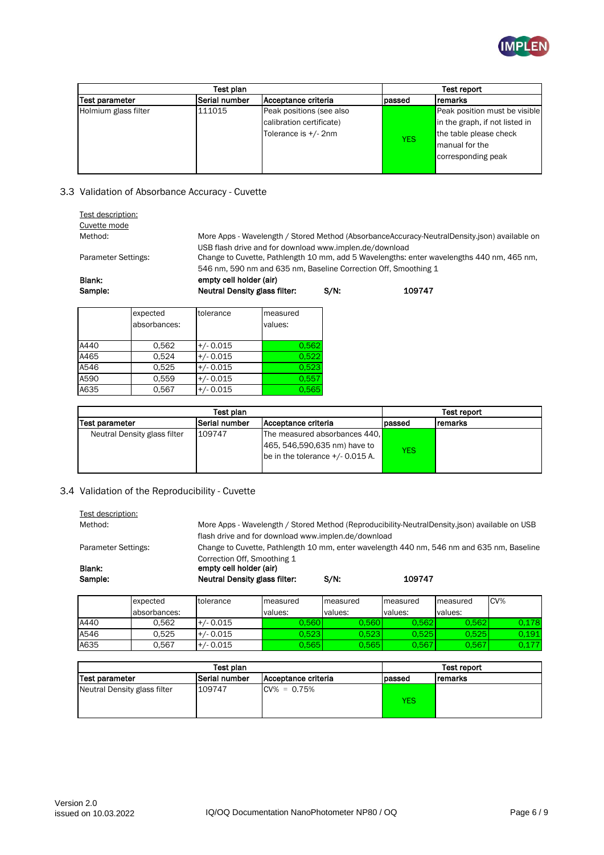

| Test plan             |                      |                          |            | Test report                    |
|-----------------------|----------------------|--------------------------|------------|--------------------------------|
| <b>Test parameter</b> | <b>Serial number</b> | Acceptance criteria      | passed     | <b>Iremarks</b>                |
| Holmium glass filter  | 111015               | Peak positions (see also |            | Peak position must be visible  |
|                       |                      | calibration certificate) |            | in the graph, if not listed in |
|                       |                      | Tolerance is +/- 2nm     |            | the table please check         |
|                       |                      |                          | <b>YES</b> | manual for the                 |
|                       |                      |                          |            | corresponding peak             |
|                       |                      |                          |            |                                |

### 3.3 Validation of Absorbance Accuracy - Cuvette

| Test description:<br>Cuvette mode |                          |                                                                                                                                                                                                                         |                               |         |        |  |  |  |
|-----------------------------------|--------------------------|-------------------------------------------------------------------------------------------------------------------------------------------------------------------------------------------------------------------------|-------------------------------|---------|--------|--|--|--|
| Method:                           |                          | More Apps - Wavelength / Stored Method (AbsorbanceAccuracy-NeutralDensity.json) available on                                                                                                                            |                               |         |        |  |  |  |
| Parameter Settings:               |                          | USB flash drive and for download www.implen.de/download<br>Change to Cuvette, Pathlength 10 mm, add 5 Wavelengths: enter wavelengths 440 nm, 465 nm,<br>546 nm, 590 nm and 635 nm, Baseline Correction Off, Smoothing 1 |                               |         |        |  |  |  |
| Blank:                            |                          | empty cell holder (air)                                                                                                                                                                                                 |                               |         |        |  |  |  |
| Sample:                           |                          |                                                                                                                                                                                                                         | Neutral Density glass filter: | $S/N$ : | 109747 |  |  |  |
|                                   | expected<br>absorbances: | tolerance                                                                                                                                                                                                               | measured<br>values:           |         |        |  |  |  |
| A440                              | 0.562                    | $+/- 0.015$                                                                                                                                                                                                             | 0.562                         |         |        |  |  |  |
| A465                              | 0.524                    | $+/- 0.015$                                                                                                                                                                                                             | 0.522                         |         |        |  |  |  |

|                              | Test plan            |                                                               |            |         |
|------------------------------|----------------------|---------------------------------------------------------------|------------|---------|
| Test parameter               | <b>Serial number</b> | Acceptance criteria                                           | lpassed    | remarks |
| Neutral Density glass filter | 109747               | The measured absorbances 440.<br>465, 546,590,635 nm) have to |            |         |
|                              |                      | be in the tolerance $+/$ 0.015 A.                             | <b>YES</b> |         |

## 3.4 Validation of the Reproducibility - Cuvette

A546 0,525 +/-0.015 0,5 A590 0,559 +/- 0.015 0,557 A635 0,567 +/-0.015 0,5

| More Apps - Wavelength / Stored Method (Reproducibility-NeutralDensity.json) available on USB<br>Method:<br>flash drive and for download www.implen.de/download |              |                                                                                                |                                                                                           |          |          |          |     |  |
|-----------------------------------------------------------------------------------------------------------------------------------------------------------------|--------------|------------------------------------------------------------------------------------------------|-------------------------------------------------------------------------------------------|----------|----------|----------|-----|--|
| Parameter Settings:                                                                                                                                             |              |                                                                                                | Change to Cuvette, Pathlength 10 mm, enter wavelength 440 nm, 546 nm and 635 nm, Baseline |          |          |          |     |  |
| Blank:<br>Sample:                                                                                                                                               |              | Correction Off, Smoothing 1<br>empty cell holder (air)<br><b>Neutral Density glass filter:</b> |                                                                                           | $S/N$ :  | 109747   |          |     |  |
|                                                                                                                                                                 | expected     | tolerance                                                                                      | measured                                                                                  | measured | measured | measured | CV% |  |
|                                                                                                                                                                 |              |                                                                                                |                                                                                           |          |          |          |     |  |
|                                                                                                                                                                 | absorbances: |                                                                                                | values:                                                                                   | values:  | values:  | values:  |     |  |

| Test plan                    |               |                             |         | Test report |
|------------------------------|---------------|-----------------------------|---------|-------------|
| Test parameter               | Serial number | <b>IAcceptance criteria</b> | lpassed | Iremarks    |
| Neutral Density glass filter | 109747        | $CV% = 0.75%$               | YES     |             |

A546 0,525 +/- 0.015 0,523 0,523 0,525 0,525 0,191 A635 | 0,567 |+/- 0.015 | 0,565| 0,565| 0,567| 0,567| 0,177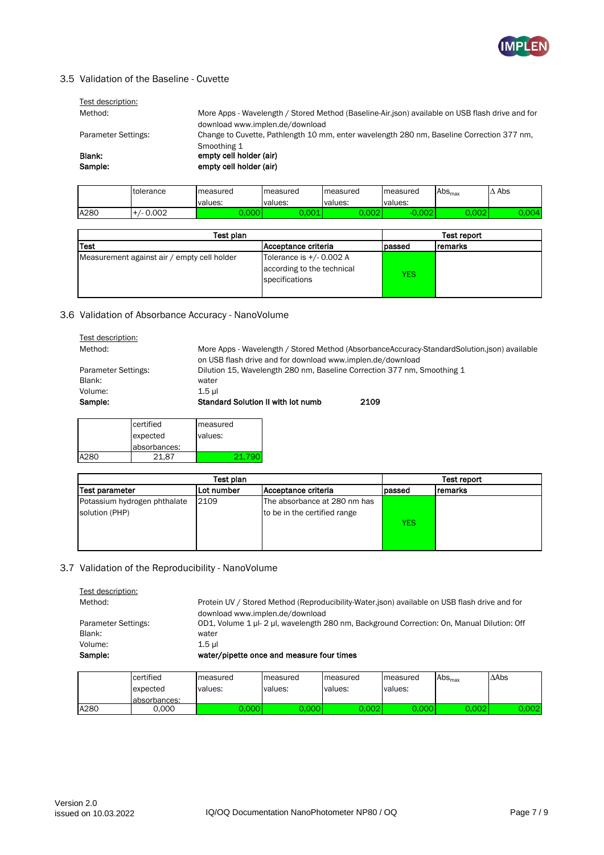

## 3.5 Validation of the Baseline - Cuvette

| Test description:   |                                                                                                 |
|---------------------|-------------------------------------------------------------------------------------------------|
| Method:             | More Apps - Wavelength / Stored Method (Baseline-Air.json) available on USB flash drive and for |
|                     | download www.implen.de/download                                                                 |
| Parameter Settings: | Change to Cuvette, Pathlength 10 mm, enter wavelength 280 nm, Baseline Correction 377 nm,       |
|                     | Smoothing 1                                                                                     |
| Blank:              | empty cell holder (air)                                                                         |
| Sample:             | empty cell holder (air)                                                                         |
|                     |                                                                                                 |

|      | <b>Itolerance</b> | measured | measured | measured | Imeasured | $\mathsf{Abs}_{\textsf{max}}$ | Abs               |
|------|-------------------|----------|----------|----------|-----------|-------------------------------|-------------------|
|      |                   | values:  | values:  | values:  | values:   |                               |                   |
| A280 | $/ - 0.002$       | ,000     | .001     | 0.002    | 0.002     | 0.002                         | J.00 <sup>T</sup> |

| Test plan                                   |                                                                             |        |         |
|---------------------------------------------|-----------------------------------------------------------------------------|--------|---------|
| Test                                        | Acceptance criteria                                                         | passed | remarks |
| Measurement against air / empty cell holder | Tolerance is $+/$ - 0.002 A<br>according to the technical<br>specifications | YES    |         |

### 3.6 Validation of Absorbance Accuracy - NanoVolume

| Test description:   |                                                                                             |
|---------------------|---------------------------------------------------------------------------------------------|
| Method:             | More Apps - Wavelength / Stored Method (AbsorbanceAccuracy-StandardSolution.json) available |
|                     | on USB flash drive and for download www.implen.de/download                                  |
| Parameter Settings: | Dilution 15, Wavelength 280 nm, Baseline Correction 377 nm, Smoothing 1                     |
| Blank:              | water                                                                                       |
| Volume:             | $1.5$ ul                                                                                    |
| Sample:             | Standard Solution II with lot numb<br>2109                                                  |
|                     |                                                                                             |
| portified           | moncurad                                                                                    |

|      | certified<br>measured |         |
|------|-----------------------|---------|
|      | expected              | values: |
|      | absorbances:          |         |
| A280 | 21.87                 | 21.790  |

| Test plan                                      |            |                                                              |            | Test report    |
|------------------------------------------------|------------|--------------------------------------------------------------|------------|----------------|
| <b>Test parameter</b>                          | Lot number | Acceptance criteria                                          | passed     | <b>remarks</b> |
| Potassium hydrogen phthalate<br>solution (PHP) | 2109       | The absorbance at 280 nm has<br>to be in the certified range | <b>YES</b> |                |

### 3.7 Validation of the Reproducibility - NanoVolume

| Test description:   |                                                                                              |
|---------------------|----------------------------------------------------------------------------------------------|
| Method:             | Protein UV / Stored Method (Reproducibility-Water.json) available on USB flash drive and for |
|                     | download www.implen.de/download                                                              |
| Parameter Settings: | OD1, Volume 1 µl- 2 µl, wavelength 280 nm, Background Correction: On, Manual Dilution: Off   |
| Blank:              | water                                                                                        |
| Volume:             | $1.5$ ul                                                                                     |
| Sample:             | water/pipette once and measure four times                                                    |

|      | certified     | measured | measured | measured | measured | $\mathrm{Abs}_{\mathrm{max}}$ | $\triangle$ Abs |
|------|---------------|----------|----------|----------|----------|-------------------------------|-----------------|
|      | expected      | values:  | values:  | values:  | values:  |                               |                 |
|      | labsorbances: |          |          |          |          |                               |                 |
| A280 | 0.000         | 0.000 l  | 0.000    | 0.002l   | 0.0001   | 0.002                         | 0.002           |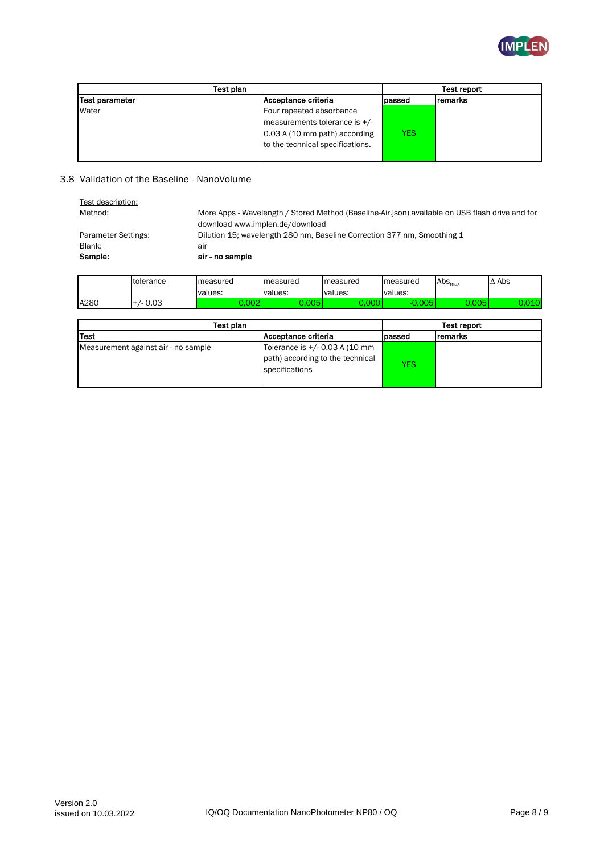

| Test plan             |                                  | Test report |                |
|-----------------------|----------------------------------|-------------|----------------|
| <b>Test parameter</b> | Acceptance criteria              | passed      | <b>remarks</b> |
| Water                 | Four repeated absorbance         |             |                |
|                       | measurements tolerance is +/-    |             |                |
|                       | 0.03 A (10 mm path) according    | YES         |                |
|                       | to the technical specifications. |             |                |
|                       |                                  |             |                |

#### 3.8 Validation of the Baseline - NanoVolume

| More Apps - Wavelength / Stored Method (Baseline-Air.json) available on USB flash drive and for<br>download www.implen.de/download |
|------------------------------------------------------------------------------------------------------------------------------------|
|                                                                                                                                    |
| Dilution 15; wavelength 280 nm, Baseline Correction 377 nm, Smoothing 1                                                            |
| air                                                                                                                                |
| air - no sample                                                                                                                    |
|                                                                                                                                    |

|      | tolerance | measured                | measured        | measured             | measured      | $\mathsf{Abs}_{\textsf{max}}$ | $\Delta$ Abs |
|------|-----------|-------------------------|-----------------|----------------------|---------------|-------------------------------|--------------|
|      |           | values:                 | values:         | values:              | values:       |                               |              |
| A280 | /- 0.03   | $\sim$ $\sim$<br>$\sim$ | ו א∩ה ∩<br>טשטי | $\sim$ $\sim$ $\sim$ | ח∩ ∩<br>- - - | n nne<br>vvJ                  | 040<br>,,,,, |

| Test plan                           |                                                                                      |        | Test report |  |
|-------------------------------------|--------------------------------------------------------------------------------------|--------|-------------|--|
| Test                                | Acceptance criteria                                                                  | passed | remarks     |  |
| Measurement against air - no sample | Tolerance is +/- 0.03 A (10 mm<br>path) according to the technical<br>specifications | YES    |             |  |